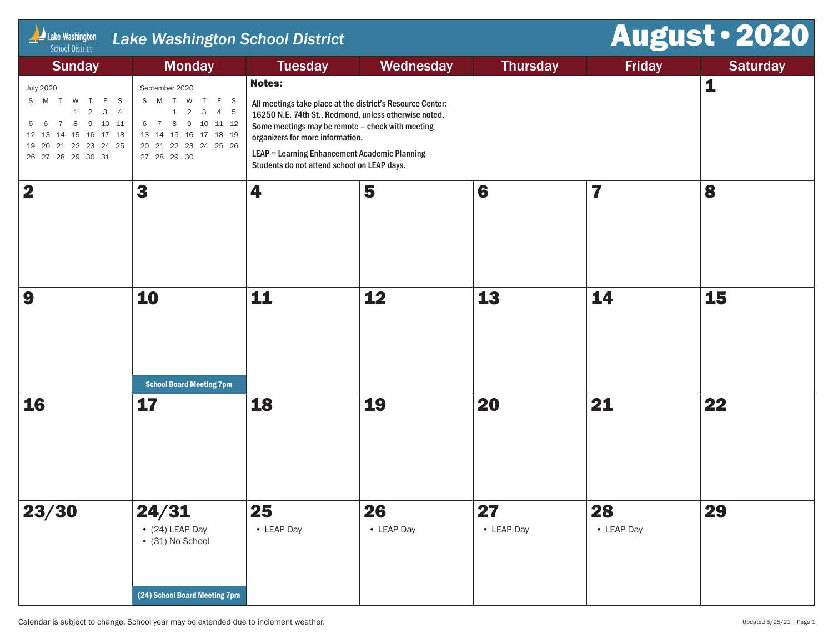| $\Box$ Lake Washington<br><b>School District</b>                                                                                                                                                    | <b>Lake Washington School District</b>                                                                                                               |                                                                                                                                                                                                       | August . 2020                                                                                                       |                  |                  |                 |
|-----------------------------------------------------------------------------------------------------------------------------------------------------------------------------------------------------|------------------------------------------------------------------------------------------------------------------------------------------------------|-------------------------------------------------------------------------------------------------------------------------------------------------------------------------------------------------------|---------------------------------------------------------------------------------------------------------------------|------------------|------------------|-----------------|
| <b>Sunday</b>                                                                                                                                                                                       | <b>Monday</b>                                                                                                                                        | <b>Tuesday</b>                                                                                                                                                                                        | Wednesday                                                                                                           | <b>Thursday</b>  | Friday           | <b>Saturday</b> |
| <b>July 2020</b><br>W T<br>S M T<br>F.<br>- S<br>$1 \quad 2$<br>3<br>$\overline{4}$<br>8 9 10 11<br>$7\overline{ }$<br>6<br>12  13  14  15  16  17  18<br>19 20 21 22 23 24 25<br>26 27 28 29 30 31 | September 2020<br>S M T W T<br>F S<br>$1 \quad 2$<br>4 5<br>$\overline{3}$<br>6 7 8 9 10 11 12<br>13  14  15  16  17  18  19<br>20 21 22 23 24 25 26 | <b>Notes:</b><br>Some meetings may be remote - check with meeting<br>organizers for more information.<br>LEAP = Learning Enhancement Academic Planning<br>Students do not attend school on LEAP days. | All meetings take place at the district's Resource Center:<br>16250 N.E. 74th St., Redmond, unless otherwise noted. |                  | 1                |                 |
| $\overline{\mathbf{2}}$                                                                                                                                                                             | 3                                                                                                                                                    | 4                                                                                                                                                                                                     | 5                                                                                                                   | 6                | 7                | 8               |
| 9                                                                                                                                                                                                   | 10<br><b>School Board Meeting 7pm</b>                                                                                                                | 11                                                                                                                                                                                                    | 12                                                                                                                  | 13               | 14               | 15              |
| <b>16</b>                                                                                                                                                                                           | 17                                                                                                                                                   | 18                                                                                                                                                                                                    | 19                                                                                                                  | 20               | 21               | 22              |
| 23/30                                                                                                                                                                                               | 24/31<br>$\bullet$ (24) LEAP Day<br>• (31) No School<br>(24) School Board Meeting 7pm                                                                | 25<br>• LEAP Day                                                                                                                                                                                      | 26<br>• LEAP Day                                                                                                    | 27<br>• LEAP Day | 28<br>• LEAP Day | 29              |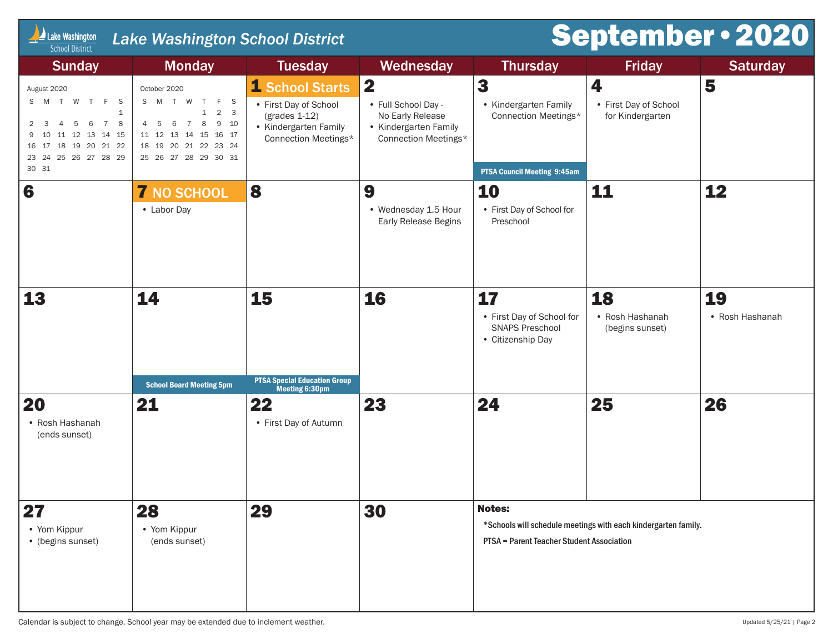| Lake Washington<br><b>School District</b>                                                                                                                                         | <b>Lake Washington School District</b>                                                                                                                                                                         |                                                                                                              |                                                                                               |                                                                                          |                                                                | <b>September . 2020</b> |
|-----------------------------------------------------------------------------------------------------------------------------------------------------------------------------------|----------------------------------------------------------------------------------------------------------------------------------------------------------------------------------------------------------------|--------------------------------------------------------------------------------------------------------------|-----------------------------------------------------------------------------------------------|------------------------------------------------------------------------------------------|----------------------------------------------------------------|-------------------------|
| <b>Sunday</b>                                                                                                                                                                     | <b>Monday</b>                                                                                                                                                                                                  | <b>Tuesday</b>                                                                                               | Wednesday                                                                                     | <b>Thursday</b>                                                                          | <b>Friday</b>                                                  | <b>Saturday</b>         |
| August 2020<br>S M T W T F S<br>$\mathbf{1}$<br>6<br>$\overline{7}$<br>5<br>8<br>2<br>4<br>- 3<br>10 11 12 13 14 15<br>9<br>16 17 18 19 20 21 22<br>23 24 25 26 27 28 29<br>30 31 | October 2020<br>S M T W T F S<br>$2 \quad 3$<br>$\mathbf{1}$<br>$\,$ 8 $\,$<br>$7\overline{ }$<br>9 10<br>$6\overline{6}$<br>4 5<br>11 12 13 14 15 16 17<br>18  19  20  21  22  23  24<br>25 26 27 28 29 30 31 | 1 School Starts<br>• First Day of School<br>$(grades 1-12)$<br>• Kindergarten Family<br>Connection Meetings* | 2<br>• Full School Day -<br>No Early Release<br>• Kindergarten Family<br>Connection Meetings* | 3<br>• Kindergarten Family<br>Connection Meetings*<br><b>PTSA Council Meeting 9:45am</b> | 4<br>• First Day of School<br>for Kindergarten                 | 5                       |
| 6                                                                                                                                                                                 | <b>7 NO SCHOOL</b><br>• Labor Day                                                                                                                                                                              | 8                                                                                                            | 9<br>• Wednesday 1.5 Hour<br>Early Release Begins                                             | 10<br>• First Day of School for<br>Preschool                                             | 11                                                             | 12                      |
| 13                                                                                                                                                                                | 14<br><b>School Board Meeting 5pm</b>                                                                                                                                                                          | 15<br><b>PTSA Special Education Group</b><br>Meeting 6:30pm                                                  | 16                                                                                            | 17<br>• First Day of School for<br><b>SNAPS Preschool</b><br>• Citizenship Day           | 18<br>• Rosh Hashanah<br>(begins sunset)                       | 19<br>• Rosh Hashanah   |
| 20<br>• Rosh Hashanah<br>(ends sunset)                                                                                                                                            | 21                                                                                                                                                                                                             | 22<br>• First Day of Autumn                                                                                  | 23                                                                                            | 24                                                                                       | 25                                                             | 26                      |
| 27<br>• Yom Kippur<br>• (begins sunset)                                                                                                                                           | 28<br>• Yom Kippur<br>(ends sunset)                                                                                                                                                                            | 29                                                                                                           | 30                                                                                            | <b>Notes:</b><br>PTSA = Parent Teacher Student Association                               | *Schools will schedule meetings with each kindergarten family. |                         |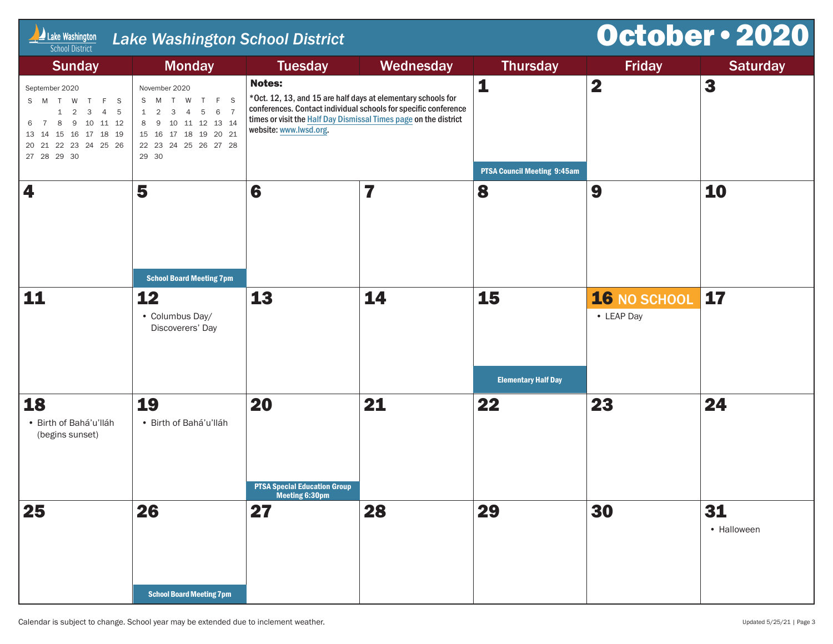| Lake Washington<br><b>School District</b>                                                                                                                                     | October . 2020<br><b>Lake Washington School District</b>                                                                             |                                                                                                                                                                                                                                                |           |                                    |                            |                   |  |  |  |
|-------------------------------------------------------------------------------------------------------------------------------------------------------------------------------|--------------------------------------------------------------------------------------------------------------------------------------|------------------------------------------------------------------------------------------------------------------------------------------------------------------------------------------------------------------------------------------------|-----------|------------------------------------|----------------------------|-------------------|--|--|--|
| <b>Sunday</b>                                                                                                                                                                 | <b>Monday</b>                                                                                                                        | <b>Tuesday</b>                                                                                                                                                                                                                                 | Wednesday | <b>Thursday</b>                    | <b>Friday</b>              | <b>Saturday</b>   |  |  |  |
| September 2020<br>S M T W T F S<br>$1 \quad 2 \quad 3$<br>$\overline{4}$<br>$-5$<br>8 9 10 11 12<br>$\overline{7}$<br>6<br>13  14  15  16  17  18  19<br>20 21 22 23 24 25 26 | November 2020<br>S M T W T F S<br>1 2 3 4 5 6 7<br>8 9 10 11 12 13 14<br>15  16  17  18  19  20  21<br>22 23 24 25 26 27 28<br>29 30 | <b>Notes:</b><br>*Oct. 12, 13, and 15 are half days at elementary schools for<br>conferences. Contact individual schools for specific conference<br>times or visit the Half Day Dismissal Times page on the district<br>website: www.lwsd.org. |           | 1                                  | $\overline{\mathbf{2}}$    | 3                 |  |  |  |
| 4                                                                                                                                                                             | 5                                                                                                                                    | 6                                                                                                                                                                                                                                              | 7         | <b>PTSA Council Meeting 9:45am</b> | 9                          | 10                |  |  |  |
|                                                                                                                                                                               | <b>School Board Meeting 7pm</b>                                                                                                      |                                                                                                                                                                                                                                                |           | 8                                  |                            |                   |  |  |  |
| 11                                                                                                                                                                            | 12<br>• Columbus Day/<br>Discoverers' Day                                                                                            | 13                                                                                                                                                                                                                                             | 14        | 15<br><b>Elementary Half Day</b>   | 16 NO SCHOOL<br>• LEAP Day | 17                |  |  |  |
| 18                                                                                                                                                                            | 19                                                                                                                                   | 20                                                                                                                                                                                                                                             | 21        | 22                                 | 23                         | 24                |  |  |  |
| · Birth of Bahá'u'lláh<br>(begins sunset)                                                                                                                                     | · Birth of Bahá'u'lláh                                                                                                               | <b>PTSA Special Education Group</b><br>meeting 6:30pm                                                                                                                                                                                          |           |                                    |                            |                   |  |  |  |
| 25                                                                                                                                                                            | 26                                                                                                                                   | 27                                                                                                                                                                                                                                             | 28        | 29                                 | 30                         | 31<br>• Halloween |  |  |  |
|                                                                                                                                                                               | <b>School Board Meeting 7pm</b>                                                                                                      |                                                                                                                                                                                                                                                |           |                                    |                            |                   |  |  |  |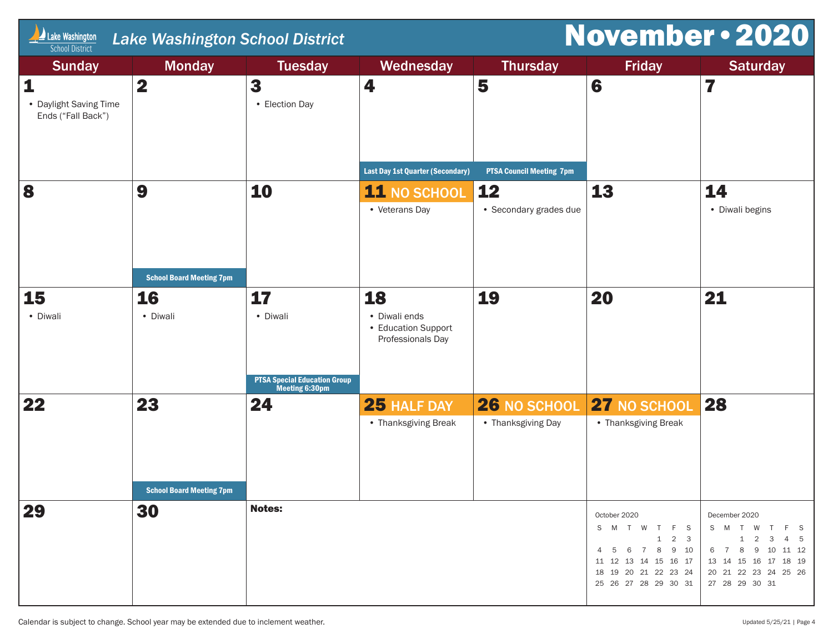| Lake Washington<br><b>School District</b>         | <b>November . 2020</b><br><b>Lake Washington School District</b> |                                                       |                                                                 |                                    |                                                                                                                                                |                                                                                                                                             |  |  |
|---------------------------------------------------|------------------------------------------------------------------|-------------------------------------------------------|-----------------------------------------------------------------|------------------------------------|------------------------------------------------------------------------------------------------------------------------------------------------|---------------------------------------------------------------------------------------------------------------------------------------------|--|--|
| <b>Sunday</b>                                     | <b>Monday</b>                                                    | <b>Tuesday</b>                                        | Wednesday                                                       | <b>Thursday</b>                    | <b>Friday</b>                                                                                                                                  | <b>Saturday</b>                                                                                                                             |  |  |
| 1<br>• Daylight Saving Time<br>Ends ("Fall Back") | $\mathbf 2$                                                      | 3<br>• Election Day                                   | 4                                                               | 5                                  | 6                                                                                                                                              | 7                                                                                                                                           |  |  |
|                                                   |                                                                  |                                                       | <b>Last Day 1st Quarter (Secondary)</b>                         | <b>PTSA Council Meeting 7pm</b>    |                                                                                                                                                |                                                                                                                                             |  |  |
| 8                                                 | 9                                                                | 10                                                    | <b>11 NO SCHOOL</b><br>• Veterans Day                           | 12<br>• Secondary grades due       | 13                                                                                                                                             | 14<br>• Diwali begins                                                                                                                       |  |  |
|                                                   | <b>School Board Meeting 7pm</b>                                  |                                                       |                                                                 |                                    |                                                                                                                                                |                                                                                                                                             |  |  |
| 15<br>• Diwali                                    | <b>16</b><br>• Diwali                                            | 17<br>• Diwali                                        | 18<br>• Diwali ends<br>• Education Support<br>Professionals Day | 19                                 | 20                                                                                                                                             | 21                                                                                                                                          |  |  |
|                                                   |                                                                  | <b>PTSA Special Education Group</b><br>Meeting 6:30pm |                                                                 |                                    |                                                                                                                                                |                                                                                                                                             |  |  |
| 22                                                | 23<br><b>School Board Meeting 7pm</b>                            | 24                                                    | 25 HALF DAY<br>• Thanksgiving Break                             | 26 NO SCHOOL<br>• Thanksgiving Day | 27 NO SCHOOL<br>• Thanksgiving Break                                                                                                           | 28                                                                                                                                          |  |  |
| 29                                                | 30                                                               | <b>Notes:</b>                                         |                                                                 |                                    | October 2020<br>S M T W T F S<br>1<br>$2 \quad 3$<br>4 5 6 7 8<br>9 10<br>11 12 13 14 15 16 17<br>18 19 20 21 22 23 24<br>25 26 27 28 29 30 31 | December 2020<br>S M T W T F S<br>$1 \t2 \t3 \t4 \t5$<br>6 7 8 9 10 11 12<br>13 14 15 16 17 18 19<br>20 21 22 23 24 25 26<br>27 28 29 30 31 |  |  |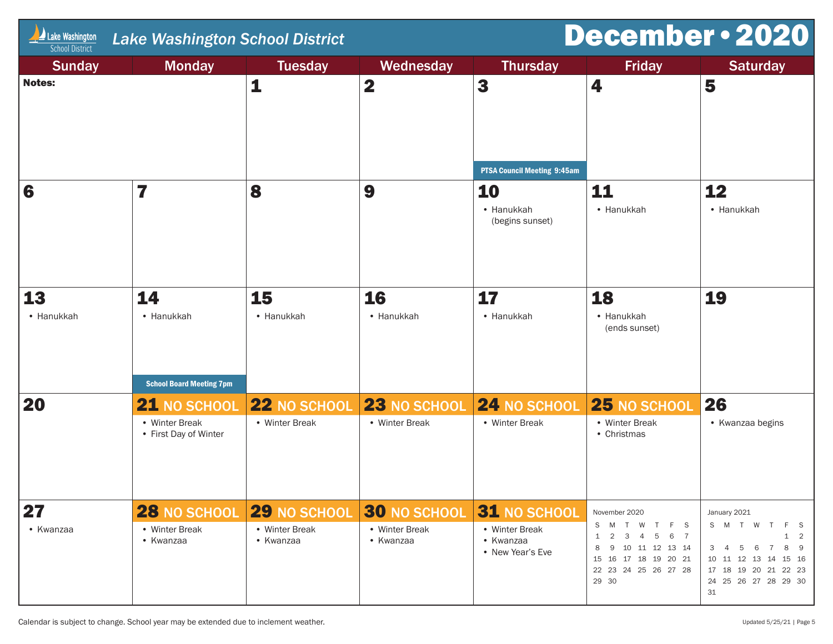| Lake Washington<br><b>Lake Washington School District</b><br><b>School District</b> |                                         |                             |                             |                                                 | December . 2020                                                                                                                                                                        |                                                                                                                                                    |  |
|-------------------------------------------------------------------------------------|-----------------------------------------|-----------------------------|-----------------------------|-------------------------------------------------|----------------------------------------------------------------------------------------------------------------------------------------------------------------------------------------|----------------------------------------------------------------------------------------------------------------------------------------------------|--|
| <b>Sunday</b>                                                                       | <b>Monday</b>                           | <b>Tuesday</b>              | Wednesday                   | <b>Thursday</b>                                 | <b>Friday</b>                                                                                                                                                                          | <b>Saturday</b>                                                                                                                                    |  |
| <b>Notes:</b>                                                                       |                                         | $\mathbf{1}$                | $\mathbf 2$                 | 3                                               | 4                                                                                                                                                                                      | 5                                                                                                                                                  |  |
|                                                                                     |                                         |                             |                             | <b>PTSA Council Meeting 9:45am</b>              |                                                                                                                                                                                        |                                                                                                                                                    |  |
| 6                                                                                   | 7                                       | 8                           | 9                           | 10<br>• Hanukkah<br>(begins sunset)             | 11<br>• Hanukkah                                                                                                                                                                       | 12<br>• Hanukkah                                                                                                                                   |  |
| 13<br>• Hanukkah                                                                    | 14<br>• Hanukkah                        | 15<br>• Hanukkah            | 16<br>• Hanukkah            | 17<br>• Hanukkah                                | 18<br>• Hanukkah<br>(ends sunset)                                                                                                                                                      | 19                                                                                                                                                 |  |
|                                                                                     | <b>School Board Meeting 7pm</b>         |                             |                             |                                                 |                                                                                                                                                                                        |                                                                                                                                                    |  |
| 20                                                                                  | 21 NO SCHOOL                            | 22 NO SCHOOL                | 23 NO SCHOOL                | 24 NO SCHOOL                                    | 25 NO SCHOOL                                                                                                                                                                           | 26                                                                                                                                                 |  |
|                                                                                     | • Winter Break<br>• First Day of Winter | • Winter Break              | • Winter Break              | • Winter Break                                  | • Winter Break<br>• Christmas                                                                                                                                                          | • Kwanzaa begins                                                                                                                                   |  |
| 27                                                                                  | <b>28 NO SCHOOL</b>                     | <b>29 NO SCHOOL</b>         | <b>30 NO SCHOOL</b>         | 31 NO SCHOOL                                    | November 2020                                                                                                                                                                          | January 2021                                                                                                                                       |  |
| • Kwanzaa                                                                           | • Winter Break<br>• Kwanzaa             | • Winter Break<br>• Kwanzaa | • Winter Break<br>• Kwanzaa | • Winter Break<br>• Kwanzaa<br>• New Year's Eve | S<br>M T W T<br>F S<br>$\overline{2}$<br>$\overline{\mathbf{3}}$<br>$\overline{4}$<br>5 6 7<br>1<br>10 11 12 13 14<br>9<br>15  16  17  18  19  20  21<br>22 23 24 25 26 27 28<br>29 30 | S M T W<br>$\top$<br>2<br>1<br>8<br>5<br>6<br>7<br>- 9<br>З<br>10 11 12 13 14<br>15 16<br>17 18 19 20 21 22 23<br>24  25  26  27  28  29  30<br>31 |  |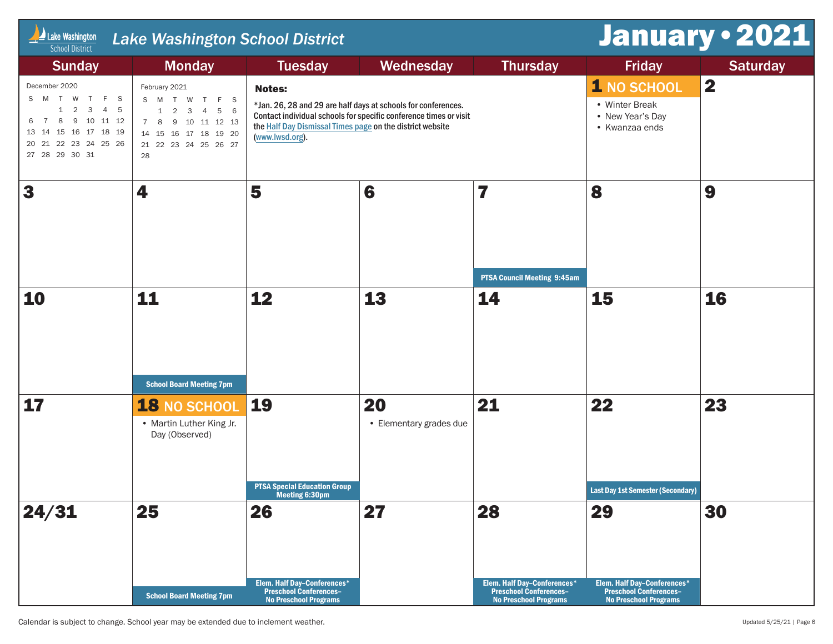| Lake Washington<br><b>School District</b>                                                                                                                                                              | <b>Lake Washington School District</b>                                                                                                                            |                                                                                                    | January . 2021                                                                                                                     |                                                                                                    |                                                                                                    |                         |
|--------------------------------------------------------------------------------------------------------------------------------------------------------------------------------------------------------|-------------------------------------------------------------------------------------------------------------------------------------------------------------------|----------------------------------------------------------------------------------------------------|------------------------------------------------------------------------------------------------------------------------------------|----------------------------------------------------------------------------------------------------|----------------------------------------------------------------------------------------------------|-------------------------|
| <b>Sunday</b>                                                                                                                                                                                          | <b>Monday</b>                                                                                                                                                     | <b>Tuesday</b>                                                                                     | Wednesday                                                                                                                          | <b>Thursday</b>                                                                                    | <b>Friday</b>                                                                                      | <b>Saturday</b>         |
| December 2020<br>S M T W T F S<br>$2 \quad 3$<br>$\overline{4}$<br>1<br>$5^{\circ}$<br>8 9 10 11 12<br>$\overline{7}$<br>6<br>13  14  15  16  17  18  19<br>20 21 22 23 24 25 26<br>27  28  29  30  31 | February 2021<br>S M T W T F S<br>$1 \quad 2 \quad 3 \quad 4$<br>5 6<br>7 8 9 10 11 12 13<br>14    15    16    17    18    19    20<br>21 22 23 24 25 26 27<br>28 | <b>Notes:</b><br>the Half Day Dismissal Times page on the district website<br>(www.lwsd.org).      | *Jan. 26, 28 and 29 are half days at schools for conferences.<br>Contact individual schools for specific conference times or visit |                                                                                                    | 1 NO SCHOOL<br>• Winter Break<br>• New Year's Day<br>• Kwanzaa ends                                | $\overline{\mathbf{2}}$ |
| 3                                                                                                                                                                                                      | 4                                                                                                                                                                 | 5                                                                                                  | 6                                                                                                                                  | 7<br><b>PTSA Council Meeting 9:45am</b>                                                            | 8                                                                                                  | 9                       |
| 10                                                                                                                                                                                                     | 11<br><b>School Board Meeting 7pm</b>                                                                                                                             | 12                                                                                                 | 13                                                                                                                                 | 14                                                                                                 | 15                                                                                                 | 16                      |
| 17                                                                                                                                                                                                     | 18 NO SCHOOL<br>• Martin Luther King Jr.<br>Day (Observed)                                                                                                        | 19<br><b>PTSA Special Education Group</b><br>Meeting 6:30pm                                        | 20<br>• Elementary grades due                                                                                                      | 21                                                                                                 | 22<br><b>Last Day 1st Semester (Secondary)</b>                                                     | 23                      |
| 24/31                                                                                                                                                                                                  | 25<br><b>School Board Meeting 7pm</b>                                                                                                                             | 26<br>Elem. Half Day-Conferences*<br><b>Preschool Conferences-</b><br><b>No Preschool Programs</b> | 27                                                                                                                                 | 28<br>Elem. Half Day-Conferences*<br><b>Preschool Conferences-</b><br><b>No Preschool Programs</b> | 29<br>Elem. Half Day-Conferences*<br><b>Preschool Conferences-</b><br><b>No Preschool Programs</b> | 30                      |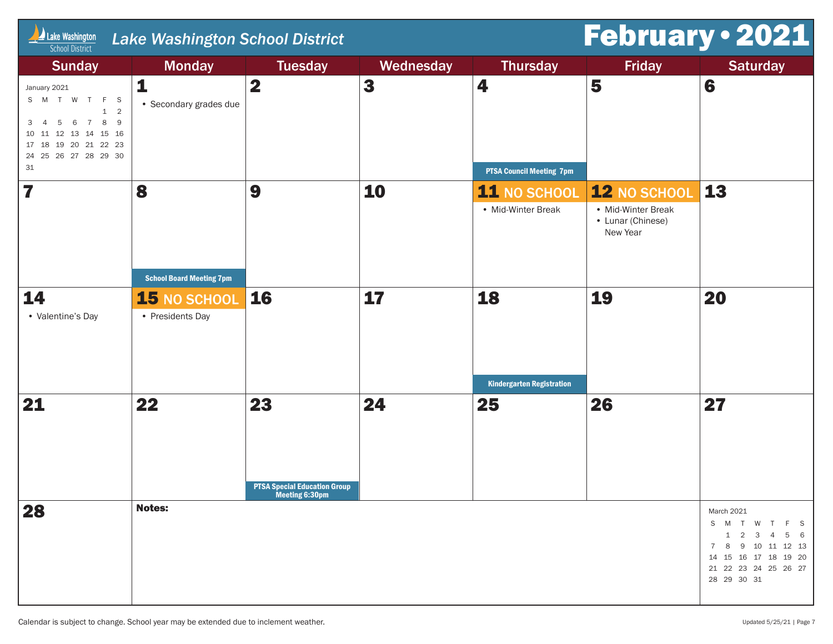| $\Box$ Lake Washington<br><b>School District</b>                                                                                                                    | <b>Lake Washington School District</b> | February . 2021                           |           |                                  |                                                     |                                                                                                                                                 |
|---------------------------------------------------------------------------------------------------------------------------------------------------------------------|----------------------------------------|-------------------------------------------|-----------|----------------------------------|-----------------------------------------------------|-------------------------------------------------------------------------------------------------------------------------------------------------|
| <b>Sunday</b>                                                                                                                                                       | <b>Monday</b>                          | <b>Tuesday</b>                            | Wednesday | <b>Thursday</b>                  | <b>Friday</b>                                       | <b>Saturday</b>                                                                                                                                 |
| January 2021<br>S M T W T F S<br>$\overline{2}$<br>$\mathbf{1}$<br>8<br>6<br>- 9<br>$7\overline{ }$<br>З<br>5<br>13 14 15 16<br>12<br>10<br>19 20 21 22 23<br>17 18 | 1<br>• Secondary grades due            | $\overline{\mathbf{2}}$                   | 3         | 4                                | 5                                                   | 6                                                                                                                                               |
| 24  25  26  27  28  29  30<br>31                                                                                                                                    |                                        |                                           |           | <b>PTSA Council Meeting 7pm</b>  |                                                     |                                                                                                                                                 |
| 7                                                                                                                                                                   | 8                                      | 9                                         | 10        | <b>11 NO SCHOOL</b>              | 12 NO SCHOOL                                        | 13                                                                                                                                              |
|                                                                                                                                                                     |                                        |                                           |           | • Mid-Winter Break               | • Mid-Winter Break<br>• Lunar (Chinese)<br>New Year |                                                                                                                                                 |
|                                                                                                                                                                     | <b>School Board Meeting 7pm</b>        |                                           |           |                                  |                                                     |                                                                                                                                                 |
| 14<br>• Valentine's Day                                                                                                                                             | 15 NO SCHOOL<br>• Presidents Day       | <b>16</b>                                 | 17        | 18                               | 19                                                  | 20                                                                                                                                              |
|                                                                                                                                                                     |                                        |                                           |           | <b>Kindergarten Registration</b> |                                                     |                                                                                                                                                 |
| 21                                                                                                                                                                  | 22                                     | 23<br><b>PTSA Special Education Group</b> | 24        | 25                               | 26                                                  | 27                                                                                                                                              |
| 28                                                                                                                                                                  | <b>Notes:</b>                          | Meeting 6:30pm                            |           |                                  |                                                     | March 2021<br>S M T W T F S<br>$1 \t2 \t3 \t4$<br>5 6<br>7 8 9 10 11 12 13<br>14  15  16  17  18  19  20<br>21 22 23 24 25 26 27<br>28 29 30 31 |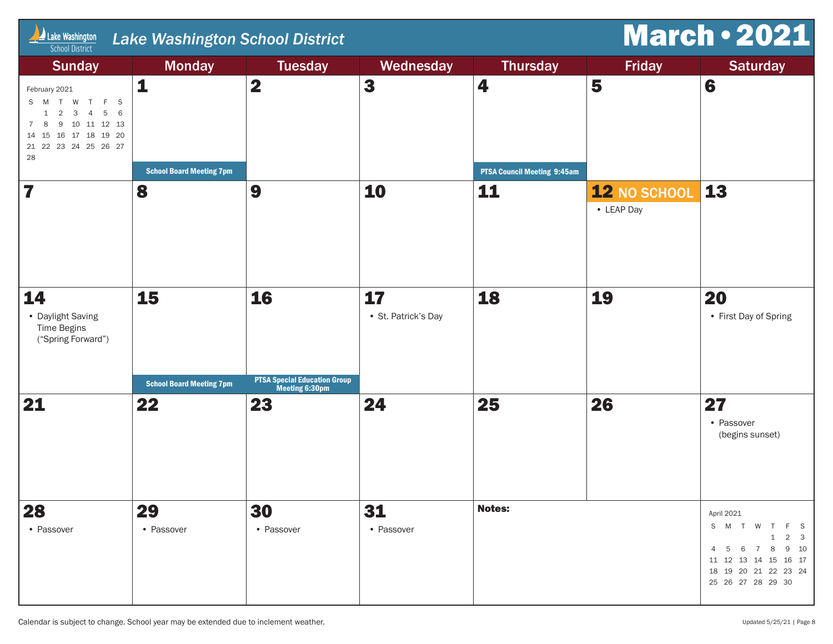| <b>March . 2021</b><br>$\Box$ Lake Washington<br>Lake Washington School District<br><b>School District</b>                                                                  |                                       |                                                             |                           |                                    |                            |                                                                                                                                                                                                                    |  |  |
|-----------------------------------------------------------------------------------------------------------------------------------------------------------------------------|---------------------------------------|-------------------------------------------------------------|---------------------------|------------------------------------|----------------------------|--------------------------------------------------------------------------------------------------------------------------------------------------------------------------------------------------------------------|--|--|
| <b>Sunday</b>                                                                                                                                                               | <b>Monday</b>                         | <b>Tuesday</b>                                              | Wednesday                 | <b>Thursday</b>                    | <b>Friday</b>              | <b>Saturday</b>                                                                                                                                                                                                    |  |  |
| February 2021<br>S M<br>$\top$<br>W T<br>F S<br>$1 \quad 2 \quad 3 \quad 4$<br>5 6<br>10 11 12 13<br>9<br>7<br>16  17  18  19  20<br>15<br>14<br>21 22 23 24 25 26 27<br>28 | $\mathbf{1}$                          | $\overline{\mathbf{2}}$                                     | $\mathbf{3}$              | 4                                  | 5                          | 6                                                                                                                                                                                                                  |  |  |
|                                                                                                                                                                             | <b>School Board Meeting 7pm</b>       |                                                             |                           | <b>PTSA Council Meeting 9:45am</b> |                            |                                                                                                                                                                                                                    |  |  |
| 7                                                                                                                                                                           | 8                                     | 9                                                           | 10                        | 11                                 | 12 NO SCHOOL<br>• LEAP Day | <b>13</b>                                                                                                                                                                                                          |  |  |
| 14<br>• Daylight Saving<br><b>Time Begins</b><br>("Spring Forward")                                                                                                         | 15                                    | 16                                                          | 17<br>· St. Patrick's Day | 18                                 | 19                         | <b>20</b><br>• First Day of Spring                                                                                                                                                                                 |  |  |
| 21                                                                                                                                                                          | <b>School Board Meeting 7pm</b><br>22 | <b>PTSA Special Education Group</b><br>Meeting 6:30pm<br>23 | 24                        | 25                                 | 26                         | 27<br>• Passover<br>(begins sunset)                                                                                                                                                                                |  |  |
| 28<br>• Passover                                                                                                                                                            | 29<br>• Passover                      | 30<br>• Passover                                            | 31<br>• Passover          | <b>Notes:</b>                      |                            | April 2021<br>S M T W<br>F.<br>- S<br>$\overline{\mathbf{3}}$<br>$\overline{2}$<br>1<br>9 10<br>8<br>$\overline{4}$<br>- 6<br>$\overline{7}$<br>.5<br>15 16 17<br>11 12<br>13<br>-14<br>18  19  20  21  22  23  24 |  |  |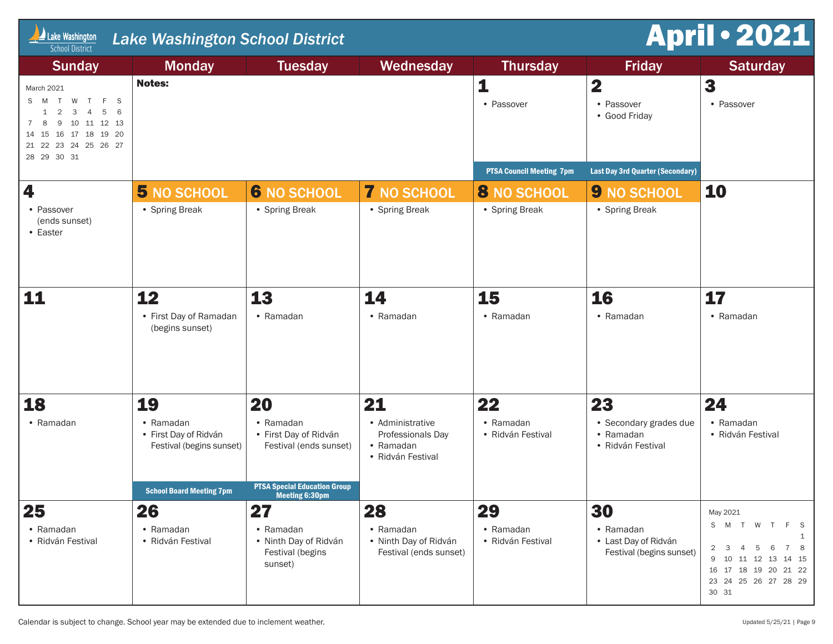| <b>April · 2021</b><br>Lake Washington<br><b>Lake Washington School District</b><br><b>School District</b>                                                                |                                                                                                   |                                                                                                                       |                                                                         |                                      |                                                               |                                                                                                                                                                                               |
|---------------------------------------------------------------------------------------------------------------------------------------------------------------------------|---------------------------------------------------------------------------------------------------|-----------------------------------------------------------------------------------------------------------------------|-------------------------------------------------------------------------|--------------------------------------|---------------------------------------------------------------|-----------------------------------------------------------------------------------------------------------------------------------------------------------------------------------------------|
| <b>Sunday</b>                                                                                                                                                             | <b>Monday</b>                                                                                     | <b>Tuesday</b>                                                                                                        | Wednesday                                                               | <b>Thursday</b>                      | <b>Friday</b>                                                 | <b>Saturday</b>                                                                                                                                                                               |
| March 2021<br>T W T F S<br>S M<br>5<br>$\overline{2}$<br>3<br>6<br>4<br>1<br>10 11 12 13<br>8<br>9<br>7<br>16 17 18 19 20<br>14 15<br>21 22 23 24 25 26 27<br>28 29 30 31 | <b>Notes:</b>                                                                                     |                                                                                                                       |                                                                         | 1<br>• Passover                      | $\mathbf 2$<br>• Passover<br>• Good Friday                    | 3<br>• Passover                                                                                                                                                                               |
|                                                                                                                                                                           |                                                                                                   |                                                                                                                       |                                                                         | <b>PTSA Council Meeting 7pm</b>      | <b>Last Day 3rd Quarter (Secondary)</b>                       |                                                                                                                                                                                               |
| 4<br>• Passover<br>(ends sunset)<br>• Easter                                                                                                                              | 5 NO SCHOOL<br>• Spring Break                                                                     | <b>6 NO SCHOOL</b><br>• Spring Break                                                                                  | <b>7 NO SCHOOL</b><br>• Spring Break                                    | <b>8 NO SCHOOL</b><br>• Spring Break | <b>9 NO SCHOOL</b><br>• Spring Break                          | 10                                                                                                                                                                                            |
| 11                                                                                                                                                                        | 12<br>• First Day of Ramadan<br>(begins sunset)                                                   | 13<br>• Ramadan                                                                                                       | 14<br>• Ramadan                                                         | 15<br>• Ramadan                      | 16<br>• Ramadan                                               | 17<br>• Ramadan                                                                                                                                                                               |
| 18                                                                                                                                                                        | 19                                                                                                | 20                                                                                                                    | 21                                                                      | 22                                   | 23                                                            | 24                                                                                                                                                                                            |
| • Ramadan                                                                                                                                                                 | • Ramadan<br>· First Day of Ridván<br>Festival (begins sunset)<br><b>School Board Meeting 7pm</b> | • Ramadan<br>· First Day of Ridván<br>Festival (ends sunset)<br><b>PTSA Special Education Group</b><br>meeting 6:30pm | • Administrative<br>Professionals Day<br>• Ramadan<br>• Ridván Festival | • Ramadan<br>• Ridván Festival       | • Secondary grades due<br>• Ramadan<br>• Ridván Festival      | • Ramadan<br>· Ridván Festival                                                                                                                                                                |
| 25                                                                                                                                                                        | 26                                                                                                | 27                                                                                                                    | 28                                                                      | 29                                   | 30                                                            | May 2021                                                                                                                                                                                      |
| • Ramadan<br>· Ridván Festival                                                                                                                                            | • Ramadan<br>· Ridván Festival                                                                    | • Ramadan<br>· Ninth Day of Ridván<br>Festival (begins<br>sunset)                                                     | • Ramadan<br>• Ninth Day of Ridván<br>Festival (ends sunset)            | • Ramadan<br>· Ridván Festival       | • Ramadan<br>• Last Day of Ridván<br>Festival (begins sunset) | S M T W<br>F.<br>$\top$<br>- S<br>$\overline{2}$<br>3<br>$\overline{4}$<br>5<br>6<br>$7^{\circ}$<br>- 8<br>9 10 11 12 13 14 15<br>16  17  18  19  20  21  22<br>23 24 25 26 27 28 29<br>30 31 |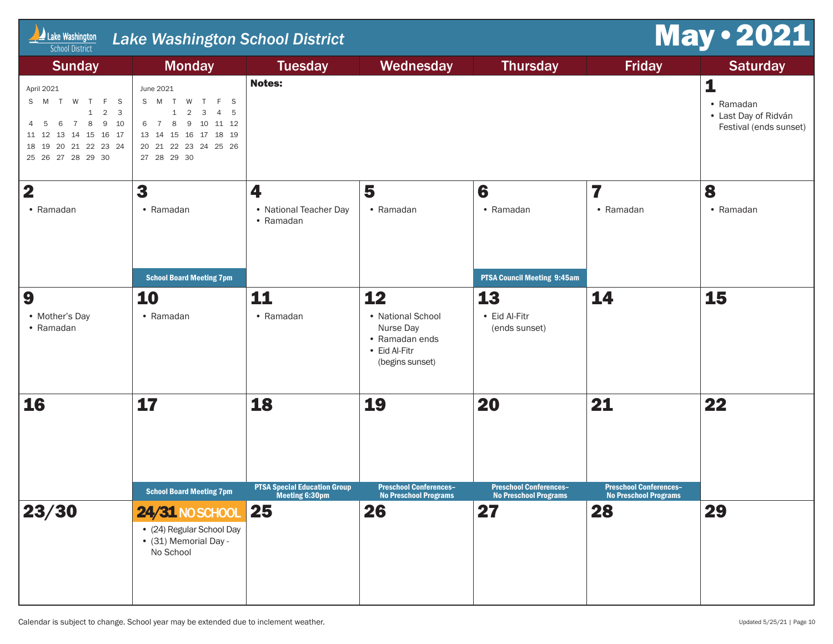| Lake Washington<br><b>Lake Washington School District</b><br><b>School District</b>                                                                                                                                                    | <b>May . 2021</b>                                                                                                                                                                       |                                           |                                                                                            |                                                      |                                     |                                                                                     |
|----------------------------------------------------------------------------------------------------------------------------------------------------------------------------------------------------------------------------------------|-----------------------------------------------------------------------------------------------------------------------------------------------------------------------------------------|-------------------------------------------|--------------------------------------------------------------------------------------------|------------------------------------------------------|-------------------------------------|-------------------------------------------------------------------------------------|
| <b>Sunday</b><br>April 2021<br>S M T W T F S<br>$\overline{2}$<br>$\overline{\mathbf{3}}$<br>$\mathbf{1}$<br>8<br>9<br>$\overline{7}$<br>10<br>6<br>-5<br>11 12 13 14 15 16 17<br>18  19  20  21  22  23  24<br>25  26  27  28  29  30 | <b>Monday</b><br>June 2021<br>S M T W T<br>F S<br>$\overline{2}$<br>$\mathbf{3}$<br>4 5<br>$\mathbf{1}$<br>9 10 11 12<br>8<br>6 7<br>13  14  15  16  17  18  19<br>20 21 22 23 24 25 26 | <b>Tuesday</b><br><b>Notes:</b>           | Wednesday                                                                                  | <b>Thursday</b>                                      | <b>Friday</b>                       | <b>Saturday</b><br>1<br>• Ramadan<br>• Last Day of Ridván<br>Festival (ends sunset) |
| $\overline{\mathbf{2}}$<br>• Ramadan                                                                                                                                                                                                   | 3<br>• Ramadan<br><b>School Board Meeting 7pm</b>                                                                                                                                       | 4<br>• National Teacher Day<br>• Ramadan  | 5<br>• Ramadan                                                                             | 6<br>• Ramadan<br><b>PTSA Council Meeting 9:45am</b> | 7<br>• Ramadan                      | 8<br>• Ramadan                                                                      |
| 9<br>• Mother's Day<br>• Ramadan                                                                                                                                                                                                       | 10<br>• Ramadan                                                                                                                                                                         | 11<br>• Ramadan                           | 12<br>• National School<br>Nurse Day<br>• Ramadan ends<br>• Eid Al-Fitr<br>(begins sunset) | 13<br>• Eid Al-Fitr<br>(ends sunset)                 | 14                                  | 15                                                                                  |
| <b>16</b>                                                                                                                                                                                                                              | 17<br><b>School Board Meeting 7pm</b>                                                                                                                                                   | 18<br><b>PTSA Special Education Group</b> | 19<br><b>Preschool Conferences-</b>                                                        | 20<br><b>Preschool Conferences-</b>                  | 21<br><b>Preschool Conferences-</b> | 22                                                                                  |
| 23/30                                                                                                                                                                                                                                  | <b>24/31 NO SCHOOL</b><br>• (24) Regular School Day<br>• (31) Memorial Day -<br>No School                                                                                               | <b>Meeting 6:30pm</b><br>25               | <b>NO Preschool Programs</b><br>26                                                         | <b>NO Preschool Programs</b><br>27                   | <b>NO Preschool Programs</b><br>28  | 29                                                                                  |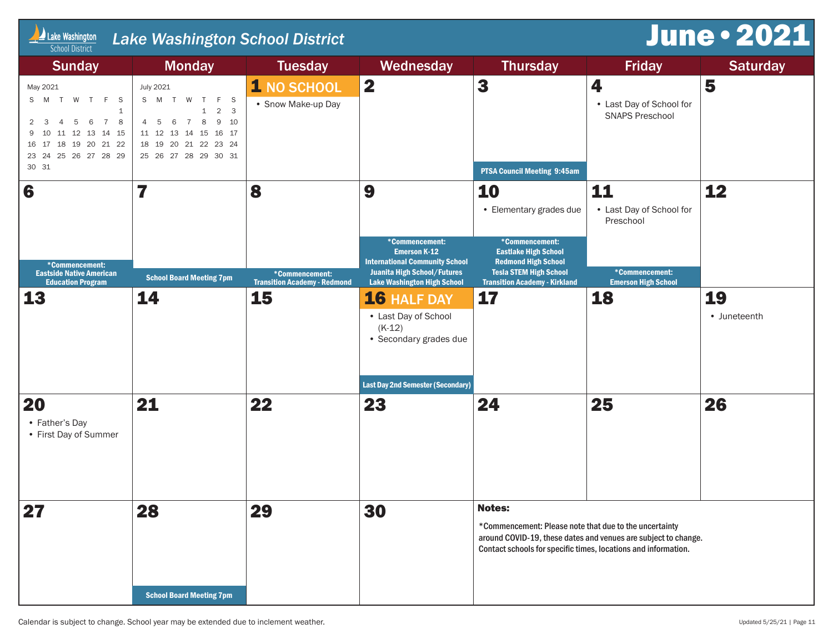| <b>June . 2021</b><br>Lake Washington<br><b>Lake Washington School District</b><br><b>School District</b>                                                                                 |                                                                                                                                                                                    |                                                       |                                                                                                                                                            |                                                                                                                                                      |                                                                |                    |  |  |
|-------------------------------------------------------------------------------------------------------------------------------------------------------------------------------------------|------------------------------------------------------------------------------------------------------------------------------------------------------------------------------------|-------------------------------------------------------|------------------------------------------------------------------------------------------------------------------------------------------------------------|------------------------------------------------------------------------------------------------------------------------------------------------------|----------------------------------------------------------------|--------------------|--|--|
| <b>Sunday</b>                                                                                                                                                                             | <b>Monday</b>                                                                                                                                                                      | <b>Tuesday</b>                                        | Wednesday                                                                                                                                                  | <b>Thursday</b>                                                                                                                                      | <b>Friday</b>                                                  | <b>Saturday</b>    |  |  |
| May 2021<br>S M T W T F S<br>1<br>$\overline{7}$<br>5<br>6<br>8<br>2 <sup>3</sup><br>$\overline{4}$<br>9 10 11 12 13 14 15<br>16  17  18  19  20  21  22<br>23 24 25 26 27 28 29<br>30 31 | July 2021<br>S M T W T F S<br>$\mathbf{1}$<br>$2 \quad 3$<br>8<br>6<br>$\overline{7}$<br>9 10<br>4 5<br>11 12 13 14 15 16 17<br>18  19  20  21  22  23  24<br>25 26 27 28 29 30 31 | 1 NO SCHOOL<br>• Snow Make-up Day                     | $\overline{\mathbf{2}}$                                                                                                                                    | 3                                                                                                                                                    | 4<br>• Last Day of School for<br><b>SNAPS Preschool</b>        | 5                  |  |  |
| 6                                                                                                                                                                                         | 7                                                                                                                                                                                  | 8                                                     | 9                                                                                                                                                          | <b>PTSA Council Meeting 9:45am</b><br>10<br>• Elementary grades due                                                                                  | 11<br>• Last Day of School for<br>Preschool                    | 12                 |  |  |
| *Commencement:<br><b>Eastside Native American</b><br><b>Education Program</b>                                                                                                             | <b>School Board Meeting 7pm</b>                                                                                                                                                    | *Commencement:<br><b>Transition Academy - Redmond</b> | *Commencement:<br><b>Emerson K-12</b><br><b>International Community School</b><br><b>Juanita High School/Futures</b><br><b>Lake Washington High School</b> | *Commencement:<br><b>Eastlake High School</b><br><b>Redmond High School</b><br><b>Tesla STEM High School</b><br><b>Transition Academy - Kirkland</b> | *Commencement:<br><b>Emerson High School</b>                   |                    |  |  |
| 13                                                                                                                                                                                        | 14                                                                                                                                                                                 | 15                                                    | 16 HALF DAY<br>• Last Day of School<br>$(K-12)$<br>• Secondary grades due                                                                                  | 17                                                                                                                                                   | 18                                                             | 19<br>• Juneteenth |  |  |
|                                                                                                                                                                                           |                                                                                                                                                                                    |                                                       | <b>Last Day 2nd Semester (Secondary)</b>                                                                                                                   |                                                                                                                                                      |                                                                |                    |  |  |
| 20<br>• Father's Day<br>• First Day of Summer                                                                                                                                             | 21                                                                                                                                                                                 | 22                                                    | 23                                                                                                                                                         | 24                                                                                                                                                   | 25                                                             | 26                 |  |  |
| 27                                                                                                                                                                                        | 28                                                                                                                                                                                 | 29                                                    | 30                                                                                                                                                         | <b>Notes:</b>                                                                                                                                        |                                                                |                    |  |  |
|                                                                                                                                                                                           |                                                                                                                                                                                    |                                                       |                                                                                                                                                            | *Commencement: Please note that due to the uncertainty<br>Contact schools for specific times, locations and information.                             | around COVID-19, these dates and venues are subject to change. |                    |  |  |
|                                                                                                                                                                                           | <b>School Board Meeting 7pm</b>                                                                                                                                                    |                                                       |                                                                                                                                                            |                                                                                                                                                      |                                                                |                    |  |  |